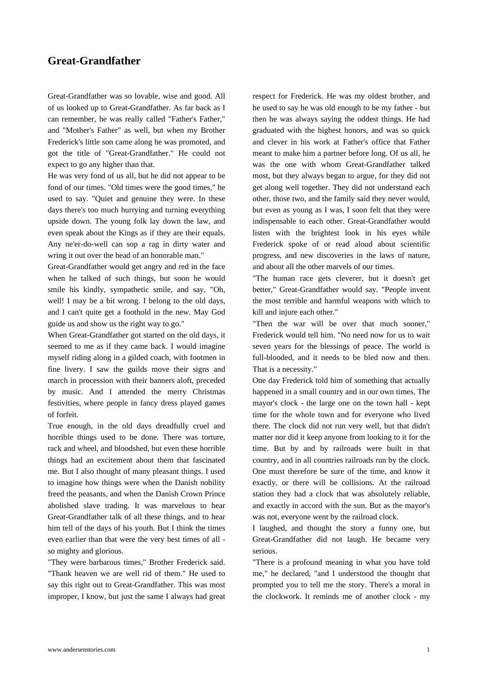## **Great-Grandfather**

[Great-Grandfather was so lo](https://www.andersenstories.com/en/andersen_fairy-tales/great-grandfather)vable, wise and good. All of us looked up to Great-Grandfather. As far back as I can remember, he was really called "Father's Father," and "Mother's Father" as well, but when my Brother Frederick's little son came along he was promoted, and got the title of "Great-Grandfather." He could not expect to go any higher than that.

He was very fond of us all, but he did not appear to be fond of our times. "Old times were the good times," he used to say. "Quiet and genuine they were. In these days there's too much hurrying and turning everything upside down. The young folk lay down the law, and even speak about the Kings as if they are their equals. Any ne'er-do-well can sop a rag in dirty water and wring it out over the head of an honorable man."

Great-Grandfather would get angry and red in the face when he talked of such things, but soon he would smile his kindly, sympathetic smile, and say, "Oh, well! I may be a bit wrong. I belong to the old days, and I can't quite get a foothold in the new. May God guide us and show us the right way to go."

When Great-Grandfather got started on the old days, it seemed to me as if they came back. I would imagine myself riding along in a gilded coach, with footmen in fine livery. I saw the guilds move their signs and march in procession with their banners aloft, preceded by music. And I attended the merry Christmas festivities, where people in fancy dress played games of forfeit.

True enough, in the old days dreadfully cruel and horrible things used to be done. There was torture, rack and wheel, and bloodshed, but even these horrible things had an excitement about them that fascinated me. But I also thought of many pleasant things. I used to imagine how things were when the Danish nobility freed the peasants, and when the Danish Crown Prince abolished slave trading. It was marvelous to hear Great-Grandfather talk of all these things, and to hear him tell of the days of his youth. But I think the times even earlier than that were the very best times of all so mighty and glorious.

"They were barbarous times," Brother Frederick said. "Thank heaven we are well rid of them." He used to say this right out to Great-Grandfather. This was most improper, I know, but just the same I always had great respect for Frederick. He was my oldest brother, and he used to say he was old enough to be my father - but then he was always saying the oddest things. He had graduated with the highest honors, and was so quick and clever in his work at Father's office that Father meant to make him a partner before long. Of us all, he was the one with whom Great-Grandfather talked most, but they always began to argue, for they did not get along well together. They did not understand each other, those two, and the family said they never would, but even as young as I was, I soon felt that they were indispensable to each other. Great-Grandfather would listen with the brightest look in his eyes while Frederick spoke of or read aloud about scientific progress, and new discoveries in the laws of nature, and about all the other marvels of our times.

"The human race gets cleverer, but it doesn't get better," Great-Grandfather would say. "People invent the most terrible and harmful weapons with which to kill and injure each other."

"Then the war will be over that much sooner," Frederick would tell him. "No need now for us to wait seven years for the blessings of peace. The world is full-blooded, and it needs to be bled now and then. That is a necessity."

One day Frederick told him of something that actually happened in a small country and in our own times. The mayor's clock - the large one on the town hall - kept time for the whole town and for everyone who lived there. The clock did not run very well, but that didn't matter nor did it keep anyone from looking to it for the time. But by and by railroads were built in that country, and in all countries railroads run by the clock. One must therefore be sure of the time, and know it exactly, or there will be collisions. At the railroad station they had a clock that was absolutely reliable, and exactly in accord with the sun. But as the mayor's was not, everyone went by the railroad clock.

I laughed, and thought the story a funny one, but Great-Grandfather did not laugh. He became very serious.

"There is a profound meaning in what you have told me," he declared, "and I understood the thought that prompted you to tell me the story. There's a moral in the clockwork. It reminds me of another clock - my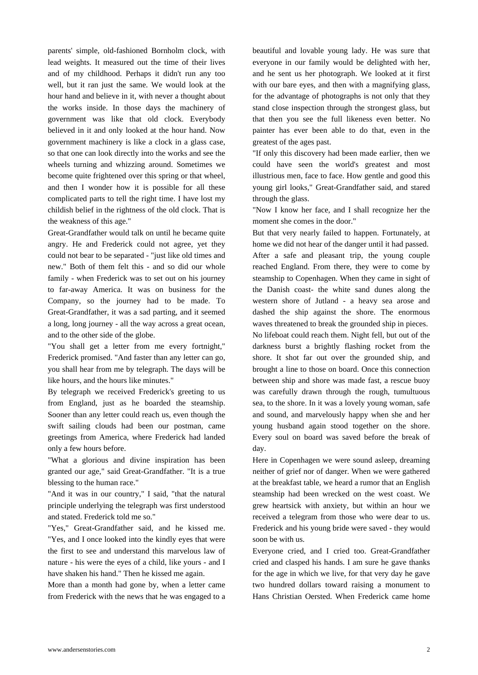parents' simple, old-fashioned Bornholm clock, with lead weights. It measured out the time of their lives and of my childhood. Perhaps it didn't run any too well, but it ran just the same. We would look at the hour hand and believe in it, with never a thought about the works inside. In those days the machinery of government was like that old clock. Everybody believed in it and only looked at the hour hand. Now government machinery is like a clock in a glass case, so that one can look directly into the works and see the wheels turning and whizzing around. Sometimes we become quite frightened over this spring or that wheel, and then I wonder how it is possible for all these complicated parts to tell the right time. I have lost my childish belief in the rightness of the old clock. That is the weakness of this age."

Great-Grandfather would talk on until he became quite angry. He and Frederick could not agree, yet they could not bear to be separated - "just like old times and new." Both of them felt this - and so did our whole family - when Frederick was to set out on his journey to far-away America. It was on business for the Company, so the journey had to be made. To Great-Grandfather, it was a sad parting, and it seemed a long, long journey - all the way across a great ocean, and to the other side of the globe.

"You shall get a letter from me every fortnight," Frederick promised. "And faster than any letter can go, you shall hear from me by telegraph. The days will be like hours, and the hours like minutes."

By telegraph we received Frederick's greeting to us from England, just as he boarded the steamship. Sooner than any letter could reach us, even though the swift sailing clouds had been our postman, came greetings from America, where Frederick had landed only a few hours before.

"What a glorious and divine inspiration has been granted our age," said Great-Grandfather. "It is a true blessing to the human race."

"And it was in our country," I said, "that the natural principle underlying the telegraph was first understood and stated. Frederick told me so."

"Yes," Great-Grandfather said, and he kissed me. "Yes, and I once looked into the kindly eyes that were the first to see and understand this marvelous law of nature - his were the eyes of a child, like yours - and I have shaken his hand." Then he kissed me again.

More than a month had gone by, when a letter came from Frederick with the news that he was engaged to a beautiful and lovable young lady. He was sure that everyone in our family would be delighted with her, and he sent us her photograph. We looked at it first with our bare eyes, and then with a magnifying glass, for the advantage of photographs is not only that they stand close inspection through the strongest glass, but that then you see the full likeness even better. No painter has ever been able to do that, even in the greatest of the ages past.

"If only this discovery had been made earlier, then we could have seen the world's greatest and most illustrious men, face to face. How gentle and good this young girl looks," Great-Grandfather said, and stared through the glass.

"Now I know her face, and I shall recognize her the moment she comes in the door."

But that very nearly failed to happen. Fortunately, at home we did not hear of the danger until it had passed. After a safe and pleasant trip, the young couple reached England. From there, they were to come by steamship to Copenhagen. When they came in sight of the Danish coast- the white sand dunes along the western shore of Jutland - a heavy sea arose and dashed the ship against the shore. The enormous waves threatened to break the grounded ship in pieces. No lifeboat could reach them. Night fell, but out of the darkness burst a brightly flashing rocket from the shore. It shot far out over the grounded ship, and brought a line to those on board. Once this connection between ship and shore was made fast, a rescue buoy was carefully drawn through the rough, tumultuous sea, to the shore. In it was a lovely young woman, safe and sound, and marvelously happy when she and her young husband again stood together on the shore. Every soul on board was saved before the break of day.

Here in Copenhagen we were sound asleep, dreaming neither of grief nor of danger. When we were gathered at the breakfast table, we heard a rumor that an English steamship had been wrecked on the west coast. We grew heartsick with anxiety, but within an hour we received a telegram from those who were dear to us. Frederick and his young bride were saved - they would soon be with us.

Everyone cried, and I cried too. Great-Grandfather cried and clasped his hands. I am sure he gave thanks for the age in which we live, for that very day he gave two hundred dollars toward raising a monument to Hans Christian Oersted. When Frederick came home